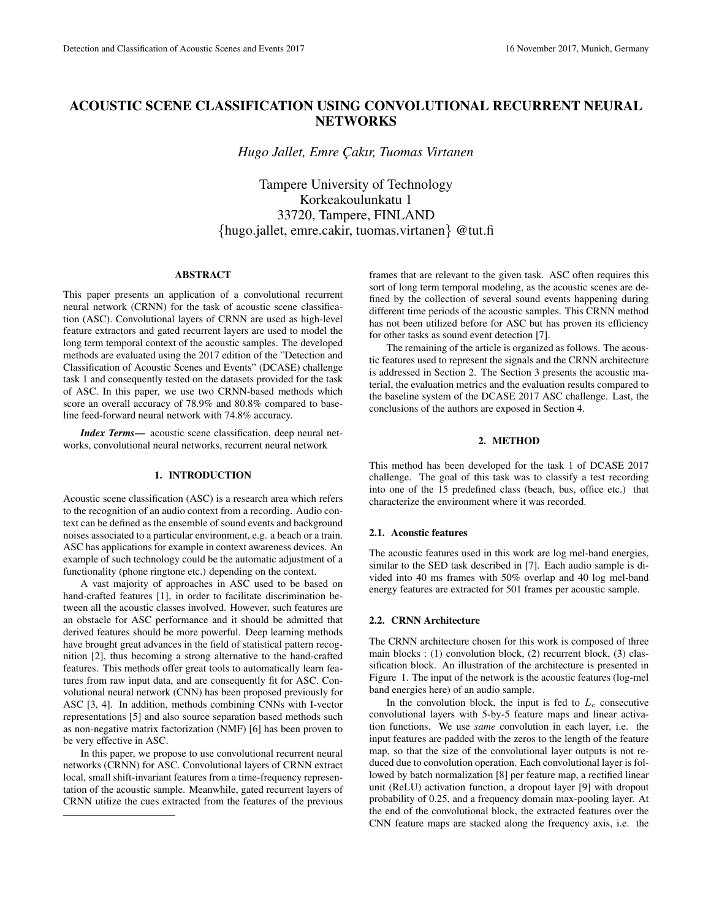# ACOUSTIC SCENE CLASSIFICATION USING CONVOLUTIONAL RECURRENT NEURAL **NETWORKS**

*Hugo Jallet, Emre C¸ akır, Tuomas Virtanen*

Tampere University of Technology Korkeakoulunkatu 1 33720, Tampere, FINLAND {hugo.jallet, emre.cakir, tuomas.virtanen} @tut.fi

# ABSTRACT

This paper presents an application of a convolutional recurrent neural network (CRNN) for the task of acoustic scene classification (ASC). Convolutional layers of CRNN are used as high-level feature extractors and gated recurrent layers are used to model the long term temporal context of the acoustic samples. The developed methods are evaluated using the 2017 edition of the "Detection and Classification of Acoustic Scenes and Events" (DCASE) challenge task 1 and consequently tested on the datasets provided for the task of ASC. In this paper, we use two CRNN-based methods which score an overall accuracy of 78.9% and 80.8% compared to baseline feed-forward neural network with 74.8% accuracy.

*Index Terms*— acoustic scene classification, deep neural networks, convolutional neural networks, recurrent neural network

### 1. INTRODUCTION

Acoustic scene classification (ASC) is a research area which refers to the recognition of an audio context from a recording. Audio context can be defined as the ensemble of sound events and background noises associated to a particular environment, e.g. a beach or a train. ASC has applications for example in context awareness devices. An example of such technology could be the automatic adjustment of a functionality (phone ringtone etc.) depending on the context.

A vast majority of approaches in ASC used to be based on hand-crafted features [1], in order to facilitate discrimination between all the acoustic classes involved. However, such features are an obstacle for ASC performance and it should be admitted that derived features should be more powerful. Deep learning methods have brought great advances in the field of statistical pattern recognition [2], thus becoming a strong alternative to the hand-crafted features. This methods offer great tools to automatically learn features from raw input data, and are consequently fit for ASC. Convolutional neural network (CNN) has been proposed previously for ASC [3, 4]. In addition, methods combining CNNs with I-vector representations [5] and also source separation based methods such as non-negative matrix factorization (NMF) [6] has been proven to be very effective in ASC.

In this paper, we propose to use convolutional recurrent neural networks (CRNN) for ASC. Convolutional layers of CRNN extract local, small shift-invariant features from a time-frequency representation of the acoustic sample. Meanwhile, gated recurrent layers of CRNN utilize the cues extracted from the features of the previous

frames that are relevant to the given task. ASC often requires this sort of long term temporal modeling, as the acoustic scenes are defined by the collection of several sound events happening during different time periods of the acoustic samples. This CRNN method has not been utilized before for ASC but has proven its efficiency for other tasks as sound event detection [7].

The remaining of the article is organized as follows. The acoustic features used to represent the signals and the CRNN architecture is addressed in Section 2. The Section 3 presents the acoustic material, the evaluation metrics and the evaluation results compared to the baseline system of the DCASE 2017 ASC challenge. Last, the conclusions of the authors are exposed in Section 4.

# 2. METHOD

This method has been developed for the task 1 of DCASE 2017 challenge. The goal of this task was to classify a test recording into one of the 15 predefined class (beach, bus, office etc.) that characterize the environment where it was recorded.

#### 2.1. Acoustic features

The acoustic features used in this work are log mel-band energies, similar to the SED task described in [7]. Each audio sample is divided into 40 ms frames with 50% overlap and 40 log mel-band energy features are extracted for 501 frames per acoustic sample.

# 2.2. CRNN Architecture

The CRNN architecture chosen for this work is composed of three main blocks : (1) convolution block, (2) recurrent block, (3) classification block. An illustration of the architecture is presented in Figure 1. The input of the network is the acoustic features (log-mel band energies here) of an audio sample.

In the convolution block, the input is fed to  $L<sub>c</sub>$  consecutive convolutional layers with 5-by-5 feature maps and linear activation functions. We use *same* convolution in each layer, i.e. the input features are padded with the zeros to the length of the feature map, so that the size of the convolutional layer outputs is not reduced due to convolution operation. Each convolutional layer is followed by batch normalization [8] per feature map, a rectified linear unit (ReLU) activation function, a dropout layer [9] with dropout probability of 0.25, and a frequency domain max-pooling layer. At the end of the convolutional block, the extracted features over the CNN feature maps are stacked along the frequency axis, i.e. the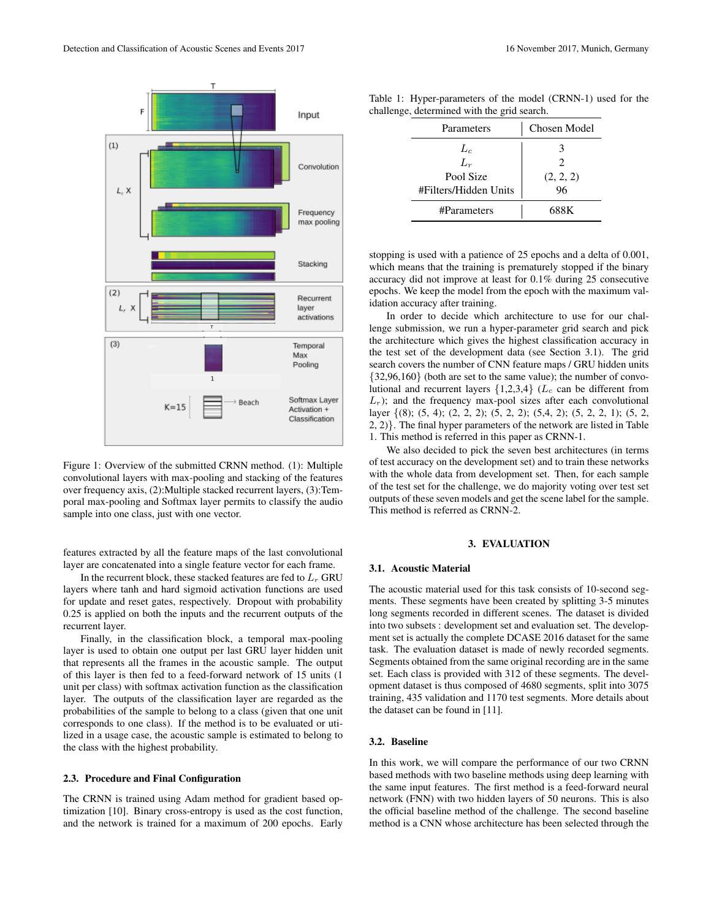

Figure 1: Overview of the submitted CRNN method. (1): Multiple convolutional layers with max-pooling and stacking of the features over frequency axis, (2):Multiple stacked recurrent layers, (3):Temporal max-pooling and Softmax layer permits to classify the audio sample into one class, just with one vector.

features extracted by all the feature maps of the last convolutional layer are concatenated into a single feature vector for each frame.

In the recurrent block, these stacked features are fed to  $L_r$  GRU layers where tanh and hard sigmoid activation functions are used for update and reset gates, respectively. Dropout with probability 0.25 is applied on both the inputs and the recurrent outputs of the recurrent layer.

Finally, in the classification block, a temporal max-pooling layer is used to obtain one output per last GRU layer hidden unit that represents all the frames in the acoustic sample. The output of this layer is then fed to a feed-forward network of 15 units (1 unit per class) with softmax activation function as the classification layer. The outputs of the classification layer are regarded as the probabilities of the sample to belong to a class (given that one unit corresponds to one class). If the method is to be evaluated or utilized in a usage case, the acoustic sample is estimated to belong to the class with the highest probability.

# 2.3. Procedure and Final Configuration

The CRNN is trained using Adam method for gradient based optimization [10]. Binary cross-entropy is used as the cost function, and the network is trained for a maximum of 200 epochs. Early

| Parameters            | Chosen Model |  |
|-----------------------|--------------|--|
| $L_{c}$               |              |  |
| $L_r$                 | 2            |  |
| Pool Size             | (2, 2, 2)    |  |
| #Filters/Hidden Units | 96           |  |
| #Parameters           | 688K         |  |

Table 1: Hyper-parameters of the model (CRNN-1) used for the challenge, determined with the grid search.

stopping is used with a patience of 25 epochs and a delta of 0.001, which means that the training is prematurely stopped if the binary accuracy did not improve at least for 0.1% during 25 consecutive epochs. We keep the model from the epoch with the maximum validation accuracy after training.

In order to decide which architecture to use for our challenge submission, we run a hyper-parameter grid search and pick the architecture which gives the highest classification accuracy in the test set of the development data (see Section 3.1). The grid search covers the number of CNN feature maps / GRU hidden units {32,96,160} (both are set to the same value); the number of convolutional and recurrent layers  $\{1,2,3,4\}$  ( $L_c$  can be different from  $L_r$ ); and the frequency max-pool sizes after each convolutional layer {(8); (5, 4); (2, 2, 2); (5, 2, 2); (5,4, 2); (5, 2, 2, 1); (5, 2, 2, 2)}. The final hyper parameters of the network are listed in Table 1. This method is referred in this paper as CRNN-1.

We also decided to pick the seven best architectures (in terms of test accuracy on the development set) and to train these networks with the whole data from development set. Then, for each sample of the test set for the challenge, we do majority voting over test set outputs of these seven models and get the scene label for the sample. This method is referred as CRNN-2.

### 3. EVALUATION

#### 3.1. Acoustic Material

The acoustic material used for this task consists of 10-second segments. These segments have been created by splitting 3-5 minutes long segments recorded in different scenes. The dataset is divided into two subsets : development set and evaluation set. The development set is actually the complete DCASE 2016 dataset for the same task. The evaluation dataset is made of newly recorded segments. Segments obtained from the same original recording are in the same set. Each class is provided with 312 of these segments. The development dataset is thus composed of 4680 segments, split into 3075 training, 435 validation and 1170 test segments. More details about the dataset can be found in [11].

### 3.2. Baseline

In this work, we will compare the performance of our two CRNN based methods with two baseline methods using deep learning with the same input features. The first method is a feed-forward neural network (FNN) with two hidden layers of 50 neurons. This is also the official baseline method of the challenge. The second baseline method is a CNN whose architecture has been selected through the